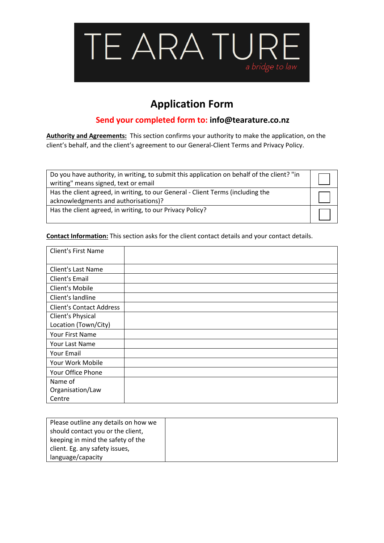

## **Application Form**

## **Send your completed form to: info@tearature.co.nz**

**Authority and Agreements:** This section confirms your authority to make the application, on the client's behalf, and the client's agreement to our General-Client Terms and Privacy Policy.

| Do you have authority, in writing, to submit this application on behalf of the client? "in<br>writing" means signed, text or email |  |
|------------------------------------------------------------------------------------------------------------------------------------|--|
| Has the client agreed, in writing, to our General - Client Terms (including the<br>acknowledgments and authorisations)?            |  |
| Has the client agreed, in writing, to our Privacy Policy?                                                                          |  |

**Contact Information:** This section asks for the client contact details and your contact details.

| <b>Client's First Name</b>      |  |
|---------------------------------|--|
| Client's Last Name              |  |
| Client's Email                  |  |
| Client's Mobile                 |  |
| Client's landline               |  |
| <b>Client's Contact Address</b> |  |
| Client's Physical               |  |
| Location (Town/City)            |  |
| Your First Name                 |  |
| Your Last Name                  |  |
| Your Email                      |  |
| Your Work Mobile                |  |
| Your Office Phone               |  |
| Name of                         |  |
| Organisation/Law                |  |
| Centre                          |  |

| Please outline any details on how we |  |
|--------------------------------------|--|
| should contact you or the client,    |  |
| keeping in mind the safety of the    |  |
| client. Eg. any safety issues,       |  |
| language/capacity                    |  |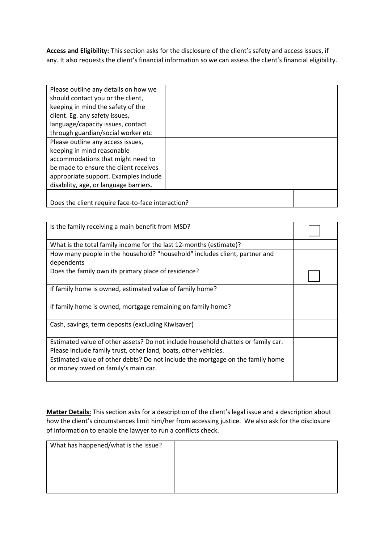**Access and Eligibility:** This section asks for the disclosure of the client's safety and access issues, if any. It also requests the client's financial information so we can assess the client's financial eligibility.

| Please outline any details on how we              |  |
|---------------------------------------------------|--|
| should contact you or the client,                 |  |
|                                                   |  |
| keeping in mind the safety of the                 |  |
| client. Eg. any safety issues,                    |  |
| language/capacity issues, contact                 |  |
| through guardian/social worker etc                |  |
| Please outline any access issues,                 |  |
| keeping in mind reasonable                        |  |
| accommodations that might need to                 |  |
| be made to ensure the client receives             |  |
| appropriate support. Examples include             |  |
| disability, age, or language barriers.            |  |
|                                                   |  |
| Does the client require face-to-face interaction? |  |

| Is the family receiving a main benefit from MSD?                                                                      |  |
|-----------------------------------------------------------------------------------------------------------------------|--|
| What is the total family income for the last 12-months (estimate)?                                                    |  |
| How many people in the household? "household" includes client, partner and<br>dependents                              |  |
| Does the family own its primary place of residence?                                                                   |  |
| If family home is owned, estimated value of family home?                                                              |  |
| If family home is owned, mortgage remaining on family home?                                                           |  |
| Cash, savings, term deposits (excluding Kiwisaver)                                                                    |  |
| Estimated value of other assets? Do not include household chattels or family car.                                     |  |
| Please include family trust, other land, boats, other vehicles.                                                       |  |
| Estimated value of other debts? Do not include the mortgage on the family home<br>or money owed on family's main car. |  |

**Matter Details:** This section asks for a description of the client's legal issue and a description about how the client's circumstances limit him/her from accessing justice. We also ask for the disclosure of information to enable the lawyer to run a conflicts check.

| What has happened/what is the issue? |  |
|--------------------------------------|--|
|                                      |  |
|                                      |  |
|                                      |  |
|                                      |  |